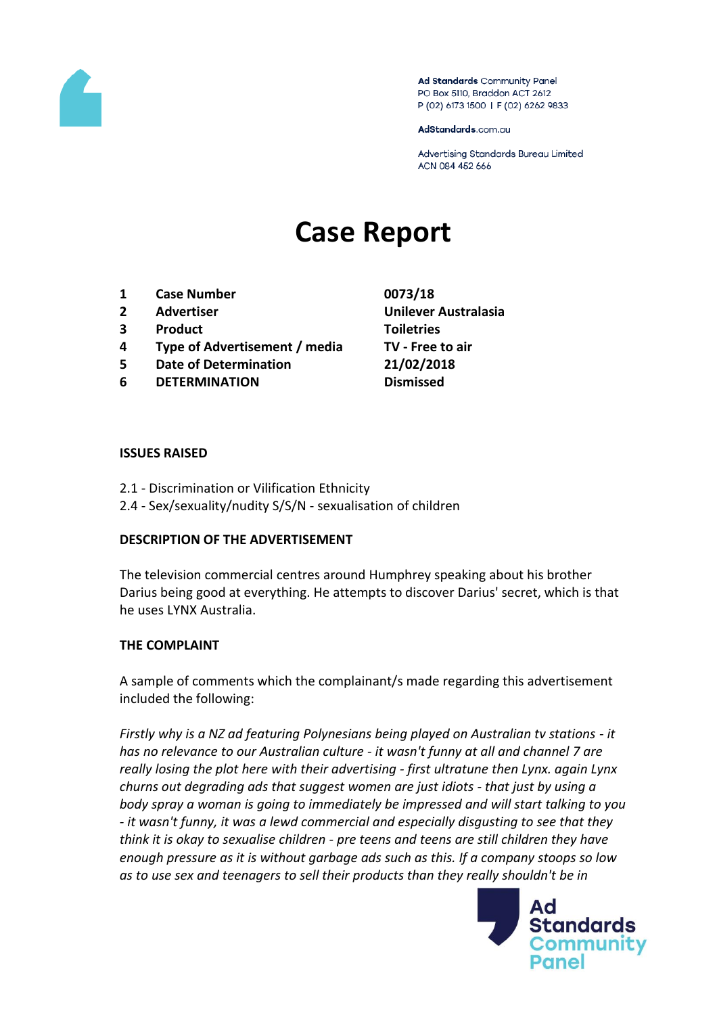

Ad Standards Community Panel PO Box 5110, Braddon ACT 2612 P (02) 6173 1500 | F (02) 6262 9833

AdStandards.com.au

Advertising Standards Bureau Limited ACN 084 452 666

# **Case Report**

- **1 Case Number 0073/18**
- 
- **3 Product Toiletries**
- **4 Type of Advertisement / media TV - Free to air**
- **5 Date of Determination 21/02/2018**
- **6 DETERMINATION Dismissed**
- **2 Advertiser Unilever Australasia**

#### **ISSUES RAISED**

- 2.1 Discrimination or Vilification Ethnicity
- 2.4 Sex/sexuality/nudity S/S/N sexualisation of children

#### **DESCRIPTION OF THE ADVERTISEMENT**

The television commercial centres around Humphrey speaking about his brother Darius being good at everything. He attempts to discover Darius' secret, which is that he uses LYNX Australia.

#### **THE COMPLAINT**

A sample of comments which the complainant/s made regarding this advertisement included the following:

*Firstly why is a NZ ad featuring Polynesians being played on Australian tv stations - it has no relevance to our Australian culture - it wasn't funny at all and channel 7 are really losing the plot here with their advertising - first ultratune then Lynx. again Lynx churns out degrading ads that suggest women are just idiots - that just by using a body spray a woman is going to immediately be impressed and will start talking to you - it wasn't funny, it was a lewd commercial and especially disgusting to see that they think it is okay to sexualise children - pre teens and teens are still children they have enough pressure as it is without garbage ads such as this. If a company stoops so low as to use sex and teenagers to sell their products than they really shouldn't be in* 

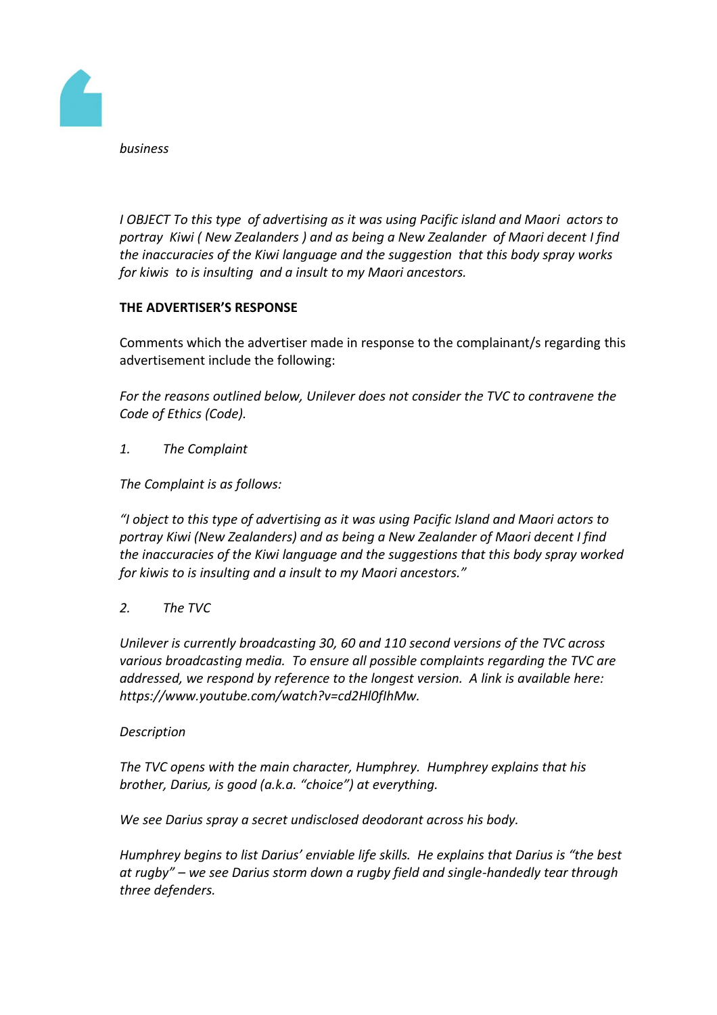

*business*

*I OBJECT To this type of advertising as it was using Pacific island and Maori actors to portray Kiwi ( New Zealanders ) and as being a New Zealander of Maori decent I find the inaccuracies of the Kiwi language and the suggestion that this body spray works for kiwis to is insulting and a insult to my Maori ancestors.*

# **THE ADVERTISER'S RESPONSE**

Comments which the advertiser made in response to the complainant/s regarding this advertisement include the following:

*For the reasons outlined below, Unilever does not consider the TVC to contravene the Code of Ethics (Code).*

*1. The Complaint*

*The Complaint is as follows:*

*"I object to this type of advertising as it was using Pacific Island and Maori actors to portray Kiwi (New Zealanders) and as being a New Zealander of Maori decent I find the inaccuracies of the Kiwi language and the suggestions that this body spray worked for kiwis to is insulting and a insult to my Maori ancestors."*

# *2. The TVC*

*Unilever is currently broadcasting 30, 60 and 110 second versions of the TVC across various broadcasting media. To ensure all possible complaints regarding the TVC are addressed, we respond by reference to the longest version. A link is available here: https://www.youtube.com/watch?v=cd2Hl0fIhMw.*

#### *Description*

*The TVC opens with the main character, Humphrey. Humphrey explains that his brother, Darius, is good (a.k.a. "choice") at everything.*

*We see Darius spray a secret undisclosed deodorant across his body.*

*Humphrey begins to list Darius' enviable life skills. He explains that Darius is "the best at rugby" – we see Darius storm down a rugby field and single-handedly tear through three defenders.*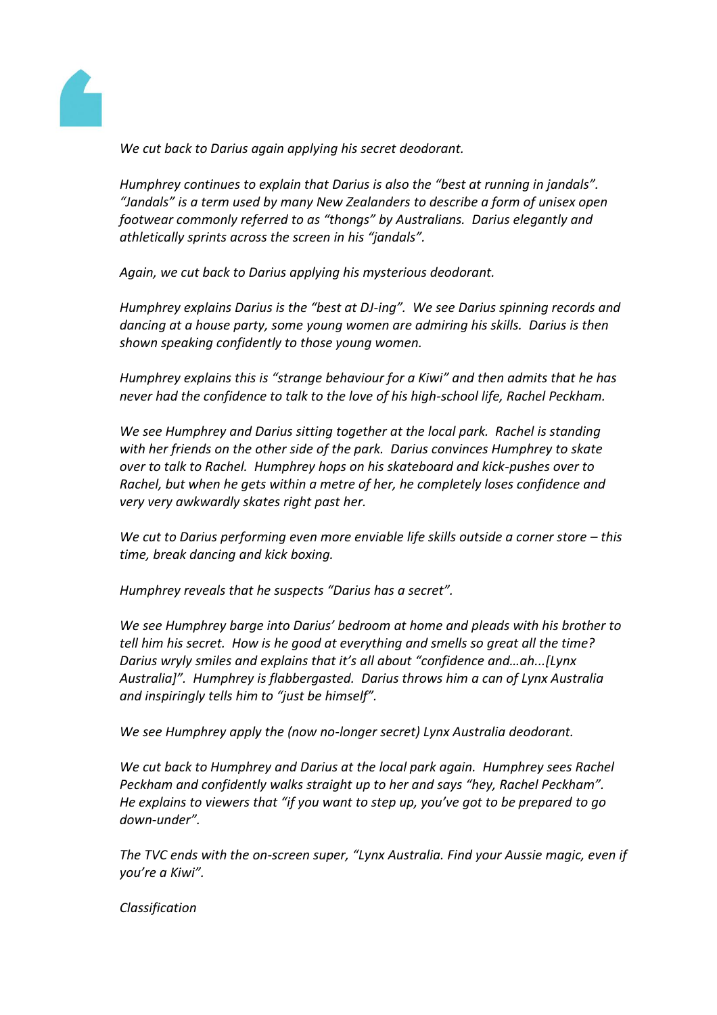

*We cut back to Darius again applying his secret deodorant.*

*Humphrey continues to explain that Darius is also the "best at running in jandals". "Jandals" is a term used by many New Zealanders to describe a form of unisex open footwear commonly referred to as "thongs" by Australians. Darius elegantly and athletically sprints across the screen in his "jandals".*

*Again, we cut back to Darius applying his mysterious deodorant.*

*Humphrey explains Darius is the "best at DJ-ing". We see Darius spinning records and dancing at a house party, some young women are admiring his skills. Darius is then shown speaking confidently to those young women.*

*Humphrey explains this is "strange behaviour for a Kiwi" and then admits that he has never had the confidence to talk to the love of his high-school life, Rachel Peckham.*

*We see Humphrey and Darius sitting together at the local park. Rachel is standing with her friends on the other side of the park. Darius convinces Humphrey to skate over to talk to Rachel. Humphrey hops on his skateboard and kick-pushes over to Rachel, but when he gets within a metre of her, he completely loses confidence and very very awkwardly skates right past her.*

*We cut to Darius performing even more enviable life skills outside a corner store – this time, break dancing and kick boxing.*

*Humphrey reveals that he suspects "Darius has a secret".*

*We see Humphrey barge into Darius' bedroom at home and pleads with his brother to tell him his secret. How is he good at everything and smells so great all the time? Darius wryly smiles and explains that it's all about "confidence and…ah...[Lynx Australia]". Humphrey is flabbergasted. Darius throws him a can of Lynx Australia and inspiringly tells him to "just be himself".*

*We see Humphrey apply the (now no-longer secret) Lynx Australia deodorant.*

*We cut back to Humphrey and Darius at the local park again. Humphrey sees Rachel Peckham and confidently walks straight up to her and says "hey, Rachel Peckham". He explains to viewers that "if you want to step up, you've got to be prepared to go down-under".*

*The TVC ends with the on-screen super, "Lynx Australia. Find your Aussie magic, even if you're a Kiwi".*

*Classification*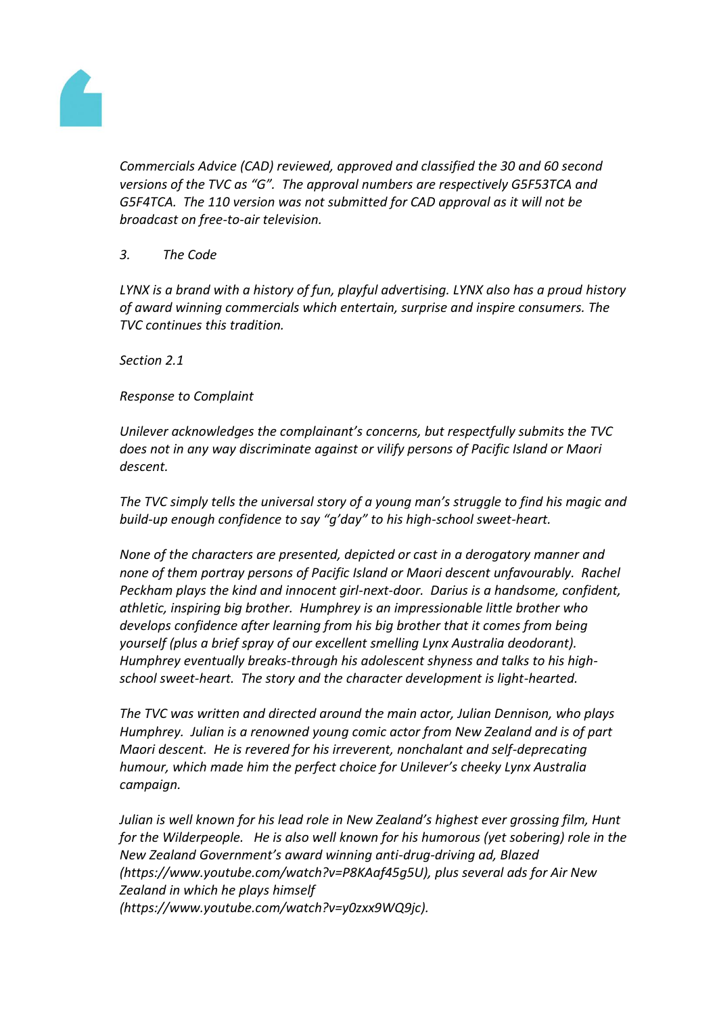

*Commercials Advice (CAD) reviewed, approved and classified the 30 and 60 second versions of the TVC as "G". The approval numbers are respectively G5F53TCA and G5F4TCA. The 110 version was not submitted for CAD approval as it will not be broadcast on free-to-air television.*

## *3. The Code*

*LYNX is a brand with a history of fun, playful advertising. LYNX also has a proud history of award winning commercials which entertain, surprise and inspire consumers. The TVC continues this tradition.*

*Section 2.1*

## *Response to Complaint*

*Unilever acknowledges the complainant's concerns, but respectfully submits the TVC does not in any way discriminate against or vilify persons of Pacific Island or Maori descent.*

*The TVC simply tells the universal story of a young man's struggle to find his magic and build-up enough confidence to say "g'day" to his high-school sweet-heart.*

*None of the characters are presented, depicted or cast in a derogatory manner and none of them portray persons of Pacific Island or Maori descent unfavourably. Rachel Peckham plays the kind and innocent girl-next-door. Darius is a handsome, confident, athletic, inspiring big brother. Humphrey is an impressionable little brother who develops confidence after learning from his big brother that it comes from being yourself (plus a brief spray of our excellent smelling Lynx Australia deodorant). Humphrey eventually breaks-through his adolescent shyness and talks to his highschool sweet-heart. The story and the character development is light-hearted.*

*The TVC was written and directed around the main actor, Julian Dennison, who plays Humphrey. Julian is a renowned young comic actor from New Zealand and is of part Maori descent. He is revered for his irreverent, nonchalant and self-deprecating humour, which made him the perfect choice for Unilever's cheeky Lynx Australia campaign.*

*Julian is well known for his lead role in New Zealand's highest ever grossing film, Hunt for the Wilderpeople. He is also well known for his humorous (yet sobering) role in the New Zealand Government's award winning anti-drug-driving ad, Blazed (https://www.youtube.com/watch?v=P8KAaf45g5U), plus several ads for Air New Zealand in which he plays himself (https://www.youtube.com/watch?v=y0zxx9WQ9jc).*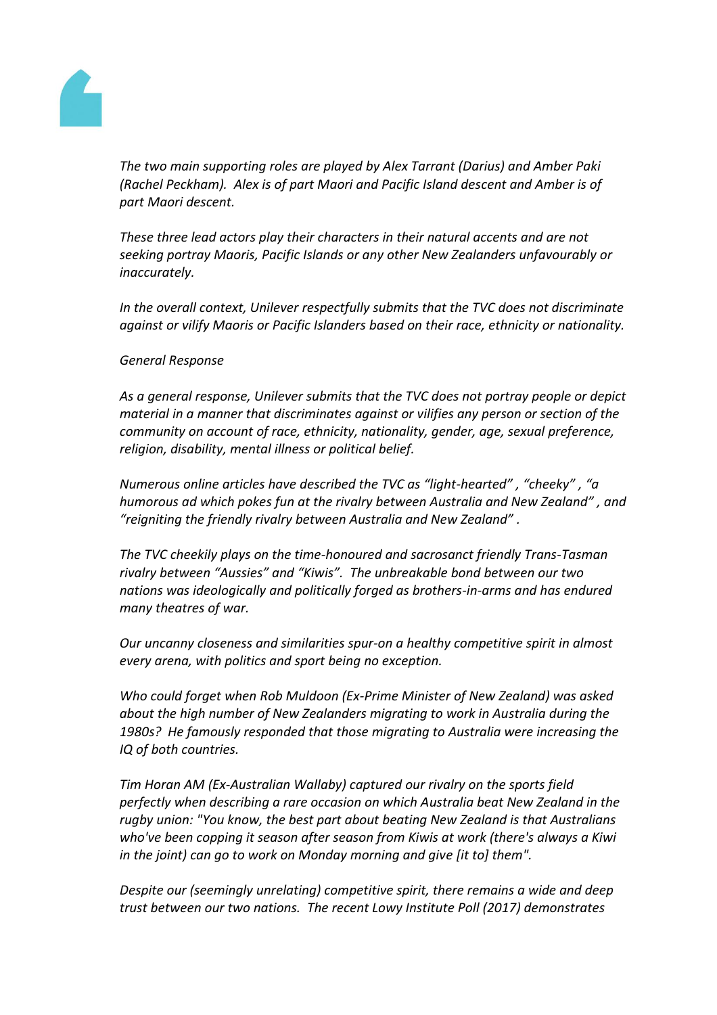

*The two main supporting roles are played by Alex Tarrant (Darius) and Amber Paki (Rachel Peckham). Alex is of part Maori and Pacific Island descent and Amber is of part Maori descent.*

*These three lead actors play their characters in their natural accents and are not seeking portray Maoris, Pacific Islands or any other New Zealanders unfavourably or inaccurately.*

*In the overall context, Unilever respectfully submits that the TVC does not discriminate against or vilify Maoris or Pacific Islanders based on their race, ethnicity or nationality.*

#### *General Response*

*As a general response, Unilever submits that the TVC does not portray people or depict material in a manner that discriminates against or vilifies any person or section of the community on account of race, ethnicity, nationality, gender, age, sexual preference, religion, disability, mental illness or political belief.*

*Numerous online articles have described the TVC as "light-hearted" , "cheeky" , "a humorous ad which pokes fun at the rivalry between Australia and New Zealand" , and "reigniting the friendly rivalry between Australia and New Zealand" .*

*The TVC cheekily plays on the time-honoured and sacrosanct friendly Trans-Tasman rivalry between "Aussies" and "Kiwis". The unbreakable bond between our two nations was ideologically and politically forged as brothers-in-arms and has endured many theatres of war.*

*Our uncanny closeness and similarities spur-on a healthy competitive spirit in almost every arena, with politics and sport being no exception.*

*Who could forget when Rob Muldoon (Ex-Prime Minister of New Zealand) was asked about the high number of New Zealanders migrating to work in Australia during the 1980s? He famously responded that those migrating to Australia were increasing the IQ of both countries.*

*Tim Horan AM (Ex-Australian Wallaby) captured our rivalry on the sports field perfectly when describing a rare occasion on which Australia beat New Zealand in the rugby union: "You know, the best part about beating New Zealand is that Australians who've been copping it season after season from Kiwis at work (there's always a Kiwi in the joint) can go to work on Monday morning and give [it to] them".*

*Despite our (seemingly unrelating) competitive spirit, there remains a wide and deep trust between our two nations. The recent Lowy Institute Poll (2017) demonstrates*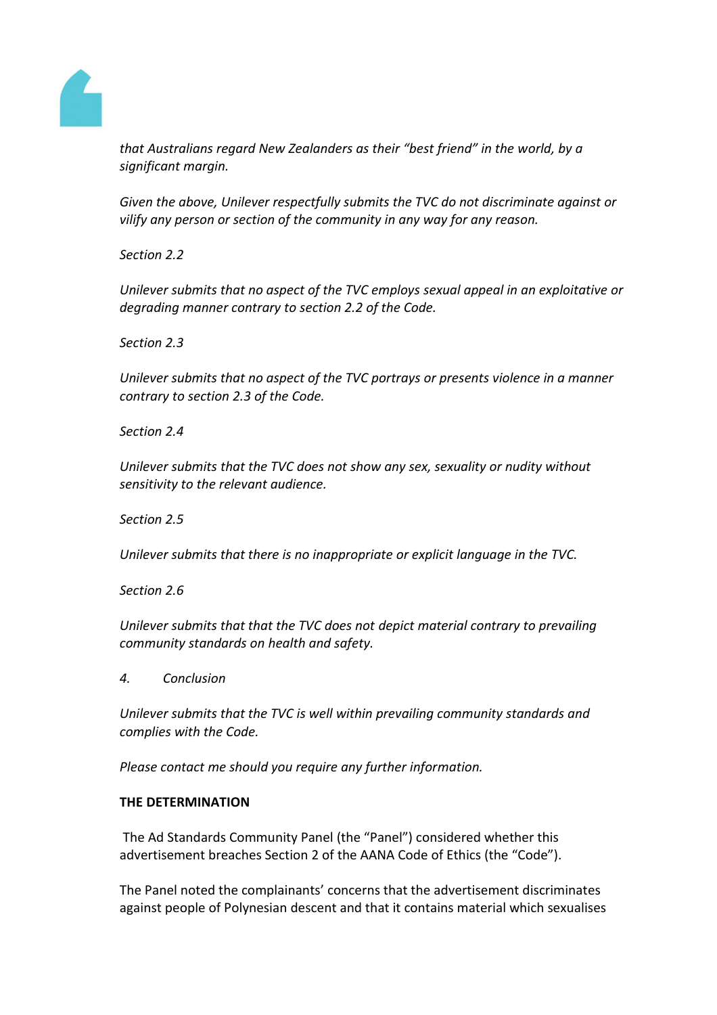

*that Australians regard New Zealanders as their "best friend" in the world, by a significant margin.*

*Given the above, Unilever respectfully submits the TVC do not discriminate against or vilify any person or section of the community in any way for any reason.*

*Section 2.2*

*Unilever submits that no aspect of the TVC employs sexual appeal in an exploitative or degrading manner contrary to section 2.2 of the Code.*

*Section 2.3*

*Unilever submits that no aspect of the TVC portrays or presents violence in a manner contrary to section 2.3 of the Code.*

*Section 2.4*

*Unilever submits that the TVC does not show any sex, sexuality or nudity without sensitivity to the relevant audience.*

*Section 2.5*

*Unilever submits that there is no inappropriate or explicit language in the TVC.*

*Section 2.6*

*Unilever submits that that the TVC does not depict material contrary to prevailing community standards on health and safety.*

*4. Conclusion*

*Unilever submits that the TVC is well within prevailing community standards and complies with the Code.*

*Please contact me should you require any further information.*

## **THE DETERMINATION**

The Ad Standards Community Panel (the "Panel") considered whether this advertisement breaches Section 2 of the AANA Code of Ethics (the "Code").

The Panel noted the complainants' concerns that the advertisement discriminates against people of Polynesian descent and that it contains material which sexualises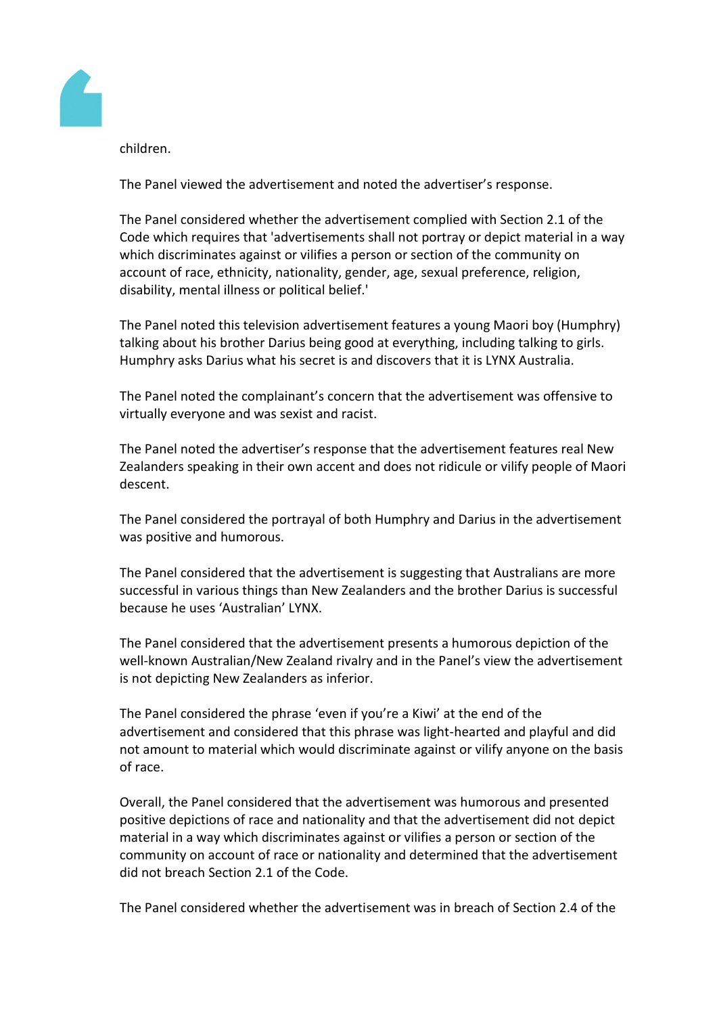

children.

The Panel viewed the advertisement and noted the advertiser's response.

The Panel considered whether the advertisement complied with Section 2.1 of the Code which requires that 'advertisements shall not portray or depict material in a way which discriminates against or vilifies a person or section of the community on account of race, ethnicity, nationality, gender, age, sexual preference, religion, disability, mental illness or political belief.'

The Panel noted this television advertisement features a young Maori boy (Humphry) talking about his brother Darius being good at everything, including talking to girls. Humphry asks Darius what his secret is and discovers that it is LYNX Australia.

The Panel noted the complainant's concern that the advertisement was offensive to virtually everyone and was sexist and racist.

The Panel noted the advertiser's response that the advertisement features real New Zealanders speaking in their own accent and does not ridicule or vilify people of Maori descent.

The Panel considered the portrayal of both Humphry and Darius in the advertisement was positive and humorous.

The Panel considered that the advertisement is suggesting that Australians are more successful in various things than New Zealanders and the brother Darius is successful because he uses 'Australian' LYNX.

The Panel considered that the advertisement presents a humorous depiction of the well-known Australian/New Zealand rivalry and in the Panel's view the advertisement is not depicting New Zealanders as inferior.

The Panel considered the phrase 'even if you're a Kiwi' at the end of the advertisement and considered that this phrase was light-hearted and playful and did not amount to material which would discriminate against or vilify anyone on the basis of race.

Overall, the Panel considered that the advertisement was humorous and presented positive depictions of race and nationality and that the advertisement did not depict material in a way which discriminates against or vilifies a person or section of the community on account of race or nationality and determined that the advertisement did not breach Section 2.1 of the Code.

The Panel considered whether the advertisement was in breach of Section 2.4 of the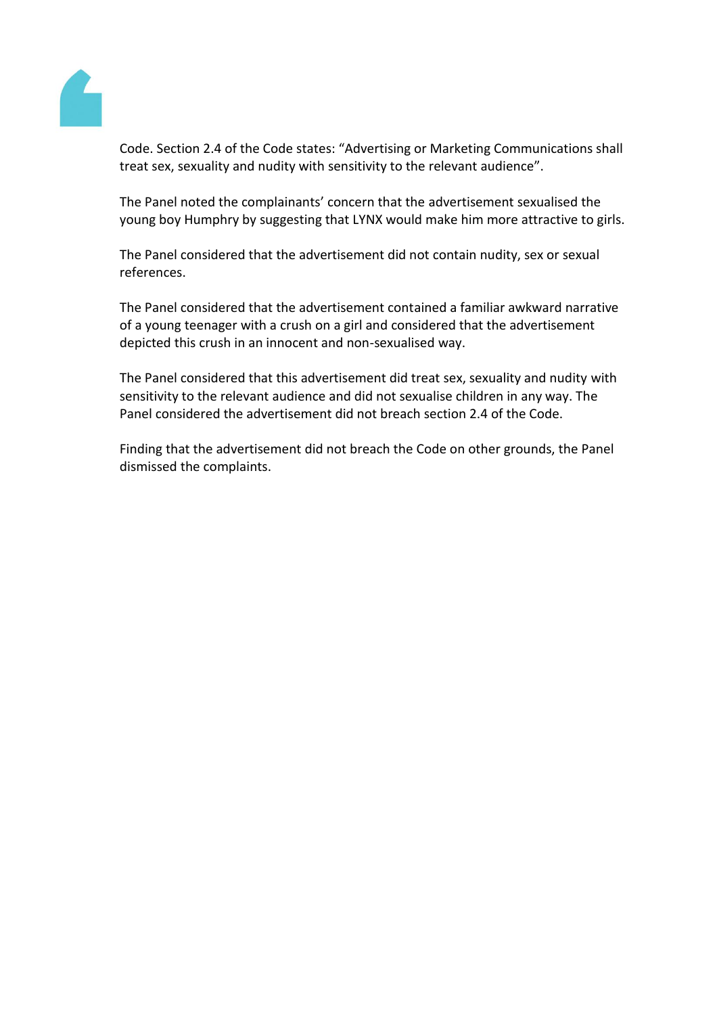

Code. Section 2.4 of the Code states: "Advertising or Marketing Communications shall treat sex, sexuality and nudity with sensitivity to the relevant audience".

The Panel noted the complainants' concern that the advertisement sexualised the young boy Humphry by suggesting that LYNX would make him more attractive to girls.

The Panel considered that the advertisement did not contain nudity, sex or sexual references.

The Panel considered that the advertisement contained a familiar awkward narrative of a young teenager with a crush on a girl and considered that the advertisement depicted this crush in an innocent and non-sexualised way.

The Panel considered that this advertisement did treat sex, sexuality and nudity with sensitivity to the relevant audience and did not sexualise children in any way. The Panel considered the advertisement did not breach section 2.4 of the Code.

Finding that the advertisement did not breach the Code on other grounds, the Panel dismissed the complaints.